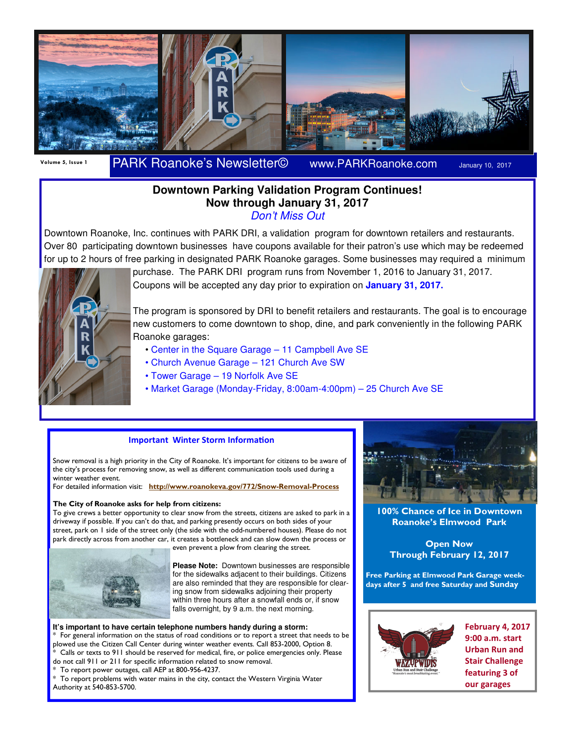

# Volume 5, Issue 1 PARK Roanoke's Newsletter© www.PARKRoanoke.com January 10, 2017

### **Downtown Parking Validation Program Continues! Now through January 31, 2017**  Don't Miss Out

Downtown Roanoke, Inc. continues with PARK DRI, a validation program for downtown retailers and restaurants. Over 80 participating downtown businesses have coupons available for their patron's use which may be redeemed for up to 2 hours of free parking in designated PARK Roanoke garages. Some businesses may required a minimum



purchase. The PARK DRI program runs from November 1, 2016 to January 31, 2017. Coupons will be accepted any day prior to expiration on **January 31, 2017.** 

The program is sponsored by DRI to benefit retailers and restaurants. The goal is to encourage new customers to come downtown to shop, dine, and park conveniently in the following PARK Roanoke garages:

- Center in the Square Garage 11 Campbell Ave SE
- Church Avenue Garage 121 Church Ave SW
- Tower Garage 19 Norfolk Ave SE
- Market Garage (Monday-Friday, 8:00am-4:00pm) 25 Church Ave SE

#### **Important Winter Storm Information**

Snow removal is a high priority in the City of Roanoke. It's important for citizens to be aware of the city's process for removing snow, as well as different communication tools used during a winter weather event.

For detailed information visit: http://www.roanokeva.gov/772/Snow-Removal-Process

#### The City of Roanoke asks for help from citizens:

To give crews a better opportunity to clear snow from the streets, citizens are asked to park in a driveway if possible. If you can't do that, and parking presently occurs on both sides of your street, park on 1 side of the street only (the side with the odd-numbered houses). Please do not park directly across from another car, it creates a bottleneck and can slow down the process or even prevent a plow from clearing the street.



**Please Note:** Downtown businesses are responsible for the sidewalks adjacent to their buildings. Citizens are also reminded that they are responsible for clearing snow from sidewalks adjoining their property within three hours after a snowfall ends or, if snow falls overnight, by 9 a.m. the next morning.

**It's important to have certain telephone numbers handy during a storm:**  For general information on the status of road conditions or to report a street that needs to be plowed use the Citizen Call Center during winter weather events. Call 853-2000, Option 8. Calls or texts to 911 should be reserved for medical, fire, or police emergencies only. Please do not call 911 or 211 for specific information related to snow removal.

To report power outages, call AEP at 800-956-4237.

To report problems with water mains in the city, contact the Western Virginia Water Authority at 540-853-5700.



100% Chance of Ice in Downtown Roanoke's Elmwood Park

Open Now Through February 12, 2017

Free Parking at Elmwood Park Garage weekdays after 5 and free Saturday and Sunday



February 4, 2017 9:00 a.m. start Urban Run and Stair Challenge featuring 3 of our garages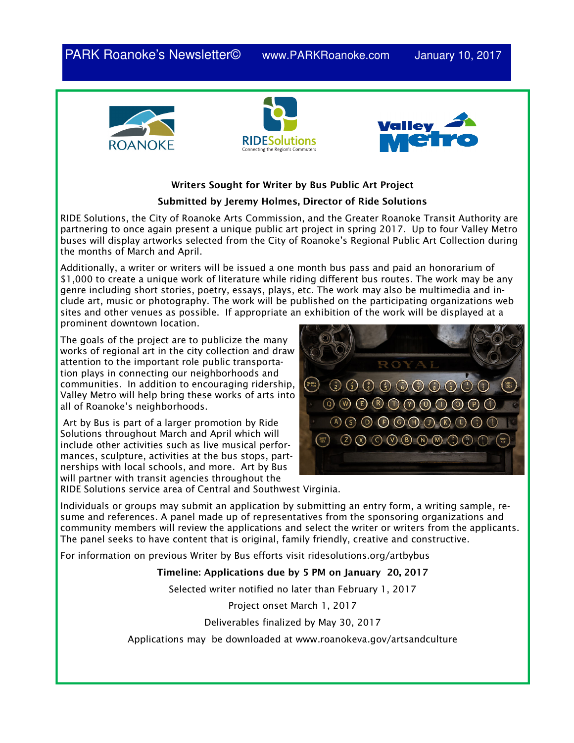PARK Roanoke's Newsletter<sup>®</sup> www.PARKRoanoke.com January 10, 2017







## Writers Sought for Writer by Bus Public Art Project Submitted by Jeremy Holmes, Director of Ride Solutions

RIDE Solutions, the City of Roanoke Arts Commission, and the Greater Roanoke Transit Authority are partnering to once again present a unique public art project in spring 2017. Up to four Valley Metro buses will display artworks selected from the City of Roanoke's Regional Public Art Collection during the months of March and April.

Additionally, a writer or writers will be issued a one month bus pass and paid an honorarium of \$1,000 to create a unique work of literature while riding different bus routes. The work may be any genre including short stories, poetry, essays, plays, etc. The work may also be multimedia and include art, music or photography. The work will be published on the participating organizations web sites and other venues as possible. If appropriate an exhibition of the work will be displayed at a prominent downtown location.

The goals of the project are to publicize the many works of regional art in the city collection and draw attention to the important role public transportation plays in connecting our neighborhoods and communities. In addition to encouraging ridership, Valley Metro will help bring these works of arts into all of Roanoke's neighborhoods.

Art by Bus is part of a larger promotion by Ride Solutions throughout March and April which will include other activities such as live musical performances, sculpture, activities at the bus stops, partnerships with local schools, and more. Art by Bus will partner with transit agencies throughout the



RIDE Solutions service area of Central and Southwest Virginia.

Individuals or groups may submit an application by submitting an entry form, a writing sample, resume and references. A panel made up of representatives from the sponsoring organizations and community members will review the applications and select the writer or writers from the applicants. The panel seeks to have content that is original, family friendly, creative and constructive.

For information on previous Writer by Bus efforts visit ridesolutions.org/artbybus

## Timeline: Applications due by 5 PM on January 20, 2017

Selected writer notified no later than February 1, 2017

Project onset March 1, 2017

Deliverables finalized by May 30, 2017

Applications may be downloaded at www.roanokeva.gov/artsandculture